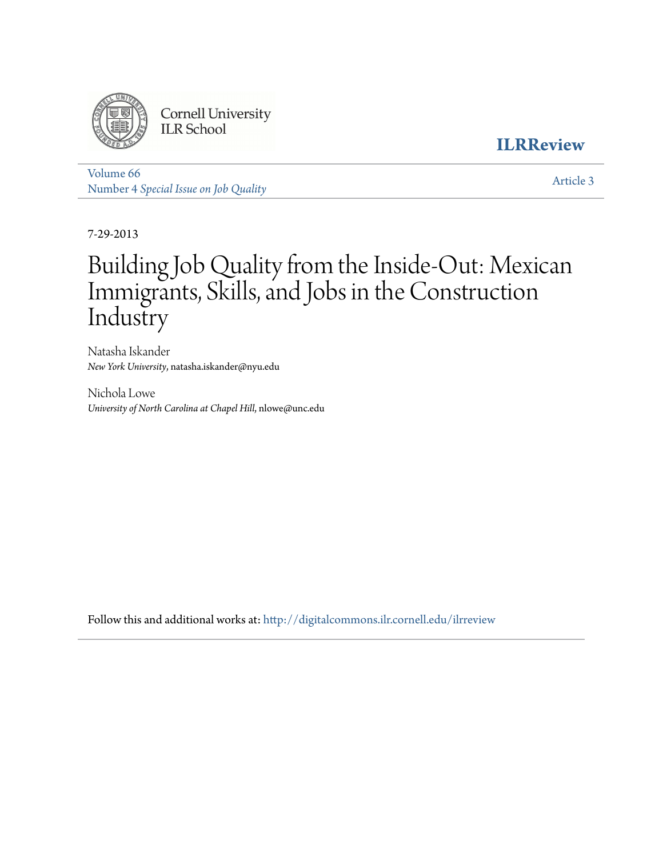

Cornell University **ILR** School

**[ILRReview](http://digitalcommons.ilr.cornell.edu/ilrreview?utm_source=digitalcommons.ilr.cornell.edu%2Filrreview%2Fvol66%2Fiss4%2F3&utm_medium=PDF&utm_campaign=PDFCoverPages)**

[Volume 66](http://digitalcommons.ilr.cornell.edu/ilrreview/vol66?utm_source=digitalcommons.ilr.cornell.edu%2Filrreview%2Fvol66%2Fiss4%2F3&utm_medium=PDF&utm_campaign=PDFCoverPages) Number 4 *[Special Issue on Job Quality](http://digitalcommons.ilr.cornell.edu/ilrreview/vol66/iss4?utm_source=digitalcommons.ilr.cornell.edu%2Filrreview%2Fvol66%2Fiss4%2F3&utm_medium=PDF&utm_campaign=PDFCoverPages)*

[Article 3](http://digitalcommons.ilr.cornell.edu/ilrreview/vol66/iss4/3?utm_source=digitalcommons.ilr.cornell.edu%2Filrreview%2Fvol66%2Fiss4%2F3&utm_medium=PDF&utm_campaign=PDFCoverPages)

7-29-2013

# Building Job Quality from the Inside-Out: Mexican Immigrants, Skills, and Jobs in the Construction Industry

Natasha Iskander *New York University*, natasha.iskander@nyu.edu

Nichola Lowe *University of North Carolina at Chapel Hill*, nlowe@unc.edu

Follow this and additional works at: [http://digitalcommons.ilr.cornell.edu/ilrreview](http://digitalcommons.ilr.cornell.edu/ilrreview?utm_source=digitalcommons.ilr.cornell.edu%2Filrreview%2Fvol66%2Fiss4%2F3&utm_medium=PDF&utm_campaign=PDFCoverPages)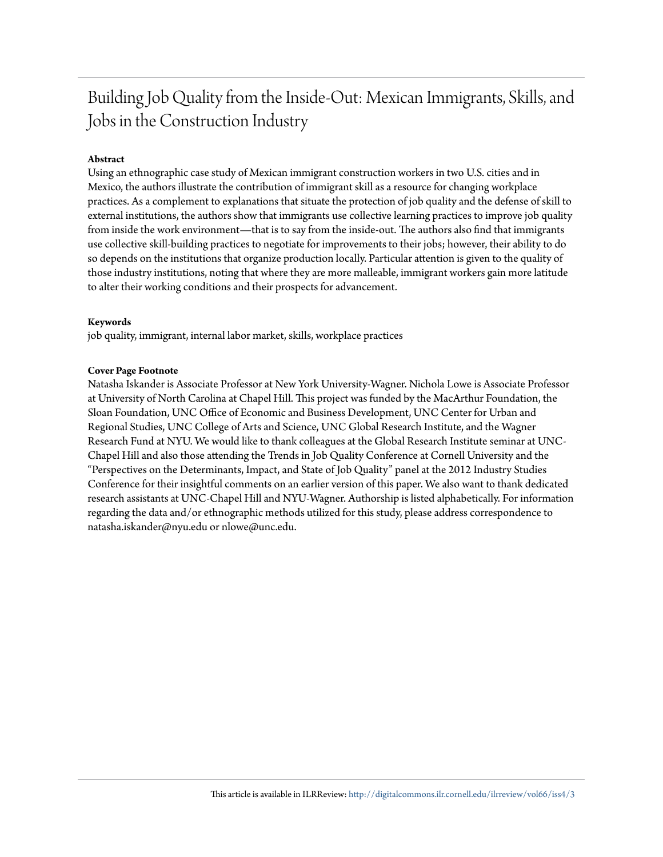## Building Job Quality from the Inside-Out: Mexican Immigrants, Skills, and Jobs in the Construction Industry

## **Abstract**

Using an ethnographic case study of Mexican immigrant construction workers in two U.S. cities and in Mexico, the authors illustrate the contribution of immigrant skill as a resource for changing workplace practices. As a complement to explanations that situate the protection of job quality and the defense of skill to external institutions, the authors show that immigrants use collective learning practices to improve job quality from inside the work environment—that is to say from the inside-out. The authors also find that immigrants use collective skill-building practices to negotiate for improvements to their jobs; however, their ability to do so depends on the institutions that organize production locally. Particular attention is given to the quality of those industry institutions, noting that where they are more malleable, immigrant workers gain more latitude to alter their working conditions and their prospects for advancement.

## **Keywords**

job quality, immigrant, internal labor market, skills, workplace practices

## **Cover Page Footnote**

Natasha Iskander is Associate Professor at New York University-Wagner. Nichola Lowe is Associate Professor at University of North Carolina at Chapel Hill. This project was funded by the MacArthur Foundation, the Sloan Foundation, UNC Office of Economic and Business Development, UNC Center for Urban and Regional Studies, UNC College of Arts and Science, UNC Global Research Institute, and the Wagner Research Fund at NYU. We would like to thank colleagues at the Global Research Institute seminar at UNC-Chapel Hill and also those attending the Trends in Job Quality Conference at Cornell University and the "Perspectives on the Determinants, Impact, and State of Job Quality" panel at the 2012 Industry Studies Conference for their insightful comments on an earlier version of this paper. We also want to thank dedicated research assistants at UNC-Chapel Hill and NYU-Wagner. Authorship is listed alphabetically. For information regarding the data and/or ethnographic methods utilized for this study, please address correspondence to natasha.iskander@nyu.edu or nlowe@unc.edu.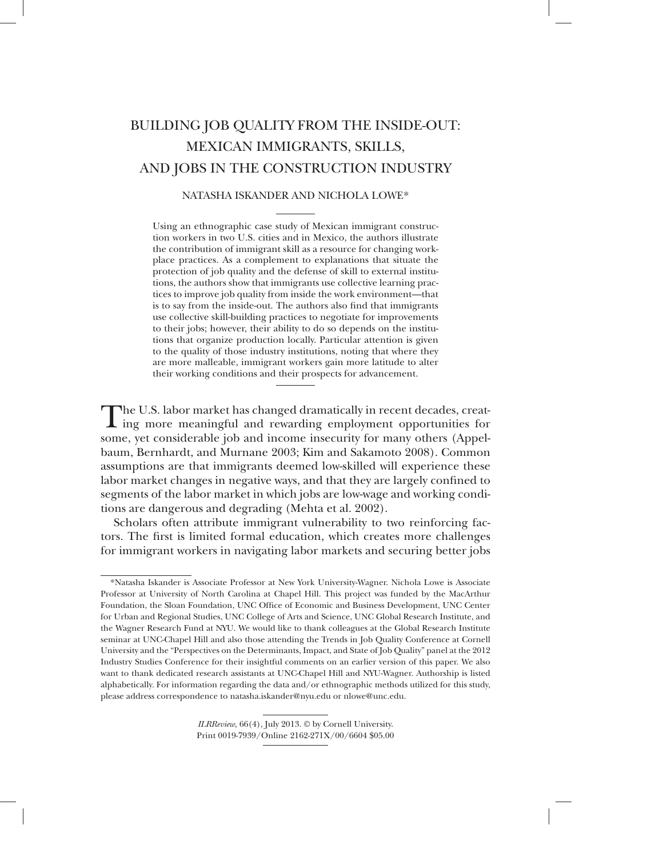## BUILDING JOB QUALITY FROM THE INSIDE-OUT: MEXICAN IMMIGRANTS, SKILLS, AND JOBS IN THE CONSTRUCTION INDUSTRY

## NATASHA ISKANDER AND NICHOLA LOWE\*

Using an ethnographic case study of Mexican immigrant construction workers in two U.S. cities and in Mexico, the authors illustrate the contribution of immigrant skill as a resource for changing workplace practices. As a complement to explanations that situate the protection of job quality and the defense of skill to external institutions, the authors show that immigrants use collective learning practices to improve job quality from inside the work environment—that is to say from the inside-out. The authors also find that immigrants use collective skill-building practices to negotiate for improvements to their jobs; however, their ability to do so depends on the institutions that organize production locally. Particular attention is given to the quality of those industry institutions, noting that where they are more malleable, immigrant workers gain more latitude to alter their working conditions and their prospects for advancement.

The U.S. labor market has changed dramatically in recent decades, creat-ing more meaningful and rewarding employment opportunities for some, yet considerable job and income insecurity for many others (Appelbaum, Bernhardt, and Murnane 2003; Kim and Sakamoto 2008). Common assumptions are that immigrants deemed low-skilled will experience these labor market changes in negative ways, and that they are largely confined to segments of the labor market in which jobs are low-wage and working conditions are dangerous and degrading (Mehta et al. 2002).

Scholars often attribute immigrant vulnerability to two reinforcing factors. The first is limited formal education, which creates more challenges for immigrant workers in navigating labor markets and securing better jobs

*ILRReview*, 66(4), July 2013. © by Cornell University. Print 0019-7939/Online 2162-271X/00/6604 \$05.00

<sup>\*</sup>Natasha Iskander is Associate Professor at New York University-Wagner. Nichola Lowe is Associate Professor at University of North Carolina at Chapel Hill. This project was funded by the MacArthur Foundation, the Sloan Foundation, UNC Office of Economic and Business Development, UNC Center for Urban and Regional Studies, UNC College of Arts and Science, UNC Global Research Institute, and the Wagner Research Fund at NYU. We would like to thank colleagues at the Global Research Institute seminar at UNC-Chapel Hill and also those attending the Trends in Job Quality Conference at Cornell University and the "Perspectives on the Determinants, Impact, and State of Job Quality" panel at the 2012 Industry Studies Conference for their insightful comments on an earlier version of this paper. We also want to thank dedicated research assistants at UNC-Chapel Hill and NYU-Wagner. Authorship is listed alphabetically. For information regarding the data and/or ethnographic methods utilized for this study, please address correspondence to natasha.iskander@nyu.edu or nlowe@unc.edu.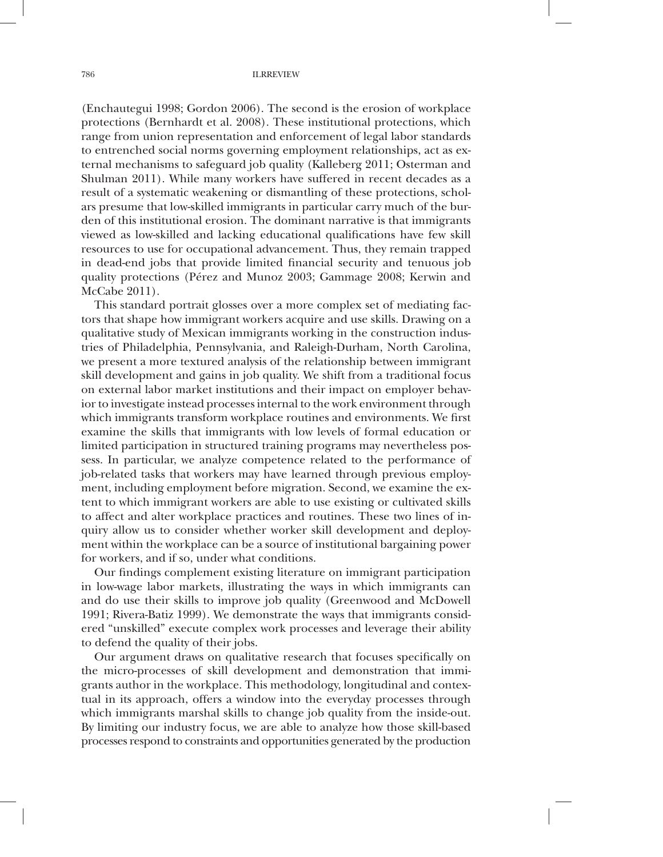(Enchautegui 1998; Gordon 2006). The second is the erosion of workplace protections (Bernhardt et al. 2008). These institutional protections, which range from union representation and enforcement of legal labor standards to entrenched social norms governing employment relationships, act as external mechanisms to safeguard job quality (Kalleberg 2011; Osterman and Shulman 2011). While many workers have suffered in recent decades as a result of a systematic weakening or dismantling of these protections, scholars presume that low-skilled immigrants in particular carry much of the burden of this institutional erosion. The dominant narrative is that immigrants viewed as low-skilled and lacking educational qualifications have few skill resources to use for occupational advancement. Thus, they remain trapped in dead-end jobs that provide limited financial security and tenuous job quality protections (Pérez and Munoz 2003; Gammage 2008; Kerwin and McCabe 2011).

This standard portrait glosses over a more complex set of mediating factors that shape how immigrant workers acquire and use skills. Drawing on a qualitative study of Mexican immigrants working in the construction industries of Philadelphia, Pennsylvania, and Raleigh-Durham, North Carolina, we present a more textured analysis of the relationship between immigrant skill development and gains in job quality. We shift from a traditional focus on external labor market institutions and their impact on employer behavior to investigate instead processes internal to the work environment through which immigrants transform workplace routines and environments. We first examine the skills that immigrants with low levels of formal education or limited participation in structured training programs may nevertheless possess. In particular, we analyze competence related to the performance of job-related tasks that workers may have learned through previous employment, including employment before migration. Second, we examine the extent to which immigrant workers are able to use existing or cultivated skills to affect and alter workplace practices and routines. These two lines of inquiry allow us to consider whether worker skill development and deployment within the workplace can be a source of institutional bargaining power for workers, and if so, under what conditions.

Our findings complement existing literature on immigrant participation in low-wage labor markets, illustrating the ways in which immigrants can and do use their skills to improve job quality (Greenwood and McDowell 1991; Rivera-Batiz 1999). We demonstrate the ways that immigrants considered "unskilled" execute complex work processes and leverage their ability to defend the quality of their jobs.

Our argument draws on qualitative research that focuses specifically on the micro-processes of skill development and demonstration that immigrants author in the workplace. This methodology, longitudinal and contextual in its approach, offers a window into the everyday processes through which immigrants marshal skills to change job quality from the inside-out. By limiting our industry focus, we are able to analyze how those skill-based processes respond to constraints and opportunities generated by the production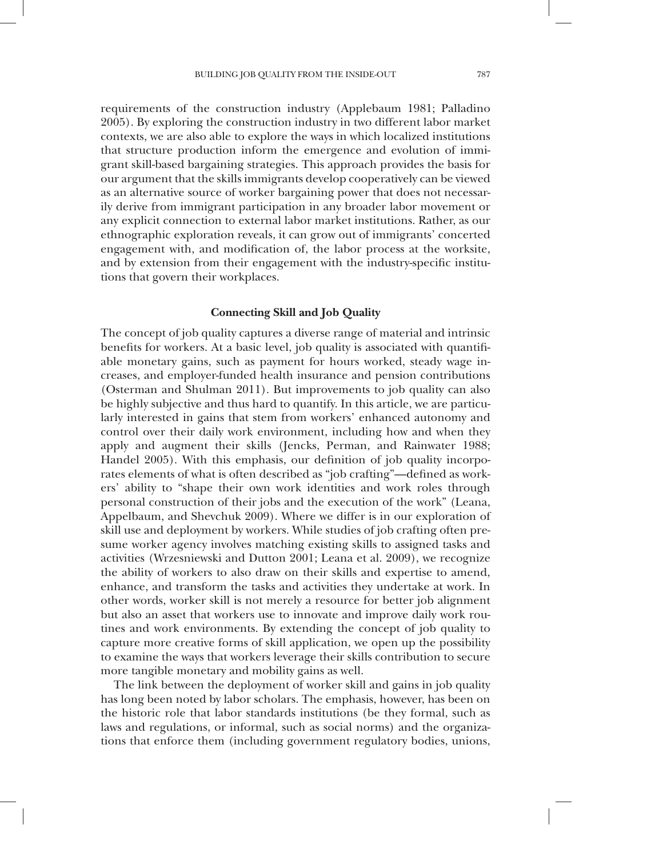requirements of the construction industry (Applebaum 1981; Palladino 2005). By exploring the construction industry in two different labor market contexts, we are also able to explore the ways in which localized institutions that structure production inform the emergence and evolution of immigrant skill-based bargaining strategies. This approach provides the basis for our argument that the skills immigrants develop cooperatively can be viewed as an alternative source of worker bargaining power that does not necessarily derive from immigrant participation in any broader labor movement or any explicit connection to external labor market institutions. Rather, as our ethnographic exploration reveals, it can grow out of immigrants' concerted engagement with, and modification of, the labor process at the worksite, and by extension from their engagement with the industry-specific institutions that govern their workplaces.

## **Connecting Skill and Job Quality**

The concept of job quality captures a diverse range of material and intrinsic benefits for workers. At a basic level, job quality is associated with quantifiable monetary gains, such as payment for hours worked, steady wage increases, and employer-funded health insurance and pension contributions (Osterman and Shulman 2011). But improvements to job quality can also be highly subjective and thus hard to quantify. In this article, we are particularly interested in gains that stem from workers' enhanced autonomy and control over their daily work environment, including how and when they apply and augment their skills (Jencks, Perman, and Rainwater 1988; Handel 2005). With this emphasis, our definition of job quality incorporates elements of what is often described as "job crafting"—defined as workers' ability to "shape their own work identities and work roles through personal construction of their jobs and the execution of the work" (Leana, Appelbaum, and Shevchuk 2009). Where we differ is in our exploration of skill use and deployment by workers. While studies of job crafting often presume worker agency involves matching existing skills to assigned tasks and activities (Wrzesniewski and Dutton 2001; Leana et al. 2009), we recognize the ability of workers to also draw on their skills and expertise to amend, enhance, and transform the tasks and activities they undertake at work. In other words, worker skill is not merely a resource for better job alignment but also an asset that workers use to innovate and improve daily work routines and work environments. By extending the concept of job quality to capture more creative forms of skill application, we open up the possibility to examine the ways that workers leverage their skills contribution to secure more tangible monetary and mobility gains as well.

The link between the deployment of worker skill and gains in job quality has long been noted by labor scholars. The emphasis, however, has been on the historic role that labor standards institutions (be they formal, such as laws and regulations, or informal, such as social norms) and the organizations that enforce them (including government regulatory bodies, unions,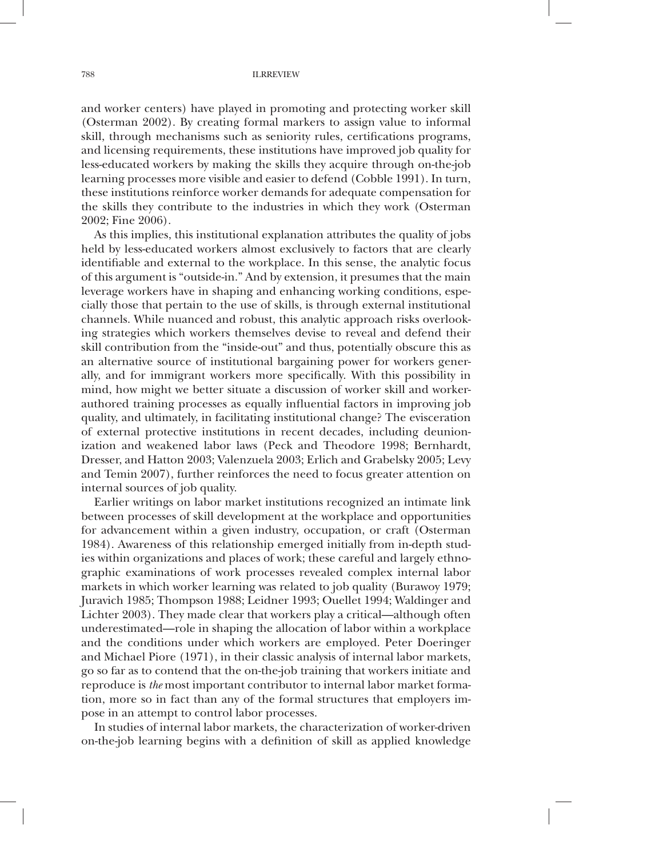and worker centers) have played in promoting and protecting worker skill (Osterman 2002). By creating formal markers to assign value to informal skill, through mechanisms such as seniority rules, certifications programs, and licensing requirements, these institutions have improved job quality for less-educated workers by making the skills they acquire through on-the-job learning processes more visible and easier to defend (Cobble 1991). In turn, these institutions reinforce worker demands for adequate compensation for the skills they contribute to the industries in which they work (Osterman 2002; Fine 2006).

As this implies, this institutional explanation attributes the quality of jobs held by less-educated workers almost exclusively to factors that are clearly identifiable and external to the workplace. In this sense, the analytic focus of this argument is "outside-in." And by extension, it presumes that the main leverage workers have in shaping and enhancing working conditions, especially those that pertain to the use of skills, is through external institutional channels. While nuanced and robust, this analytic approach risks overlooking strategies which workers themselves devise to reveal and defend their skill contribution from the "inside-out" and thus, potentially obscure this as an alternative source of institutional bargaining power for workers generally, and for immigrant workers more specifically. With this possibility in mind, how might we better situate a discussion of worker skill and workerauthored training processes as equally influential factors in improving job quality, and ultimately, in facilitating institutional change? The evisceration of external protective institutions in recent decades, including deunionization and weakened labor laws (Peck and Theodore 1998; Bernhardt, Dresser, and Hatton 2003; Valenzuela 2003; Erlich and Grabelsky 2005; Levy and Temin 2007), further reinforces the need to focus greater attention on internal sources of job quality.

Earlier writings on labor market institutions recognized an intimate link between processes of skill development at the workplace and opportunities for advancement within a given industry, occupation, or craft (Osterman 1984). Awareness of this relationship emerged initially from in-depth studies within organizations and places of work; these careful and largely ethnographic examinations of work processes revealed complex internal labor markets in which worker learning was related to job quality (Burawoy 1979; Juravich 1985; Thompson 1988; Leidner 1993; Ouellet 1994; Waldinger and Lichter 2003). They made clear that workers play a critical—although often underestimated—role in shaping the allocation of labor within a workplace and the conditions under which workers are employed. Peter Doeringer and Michael Piore (1971), in their classic analysis of internal labor markets, go so far as to contend that the on-the-job training that workers initiate and reproduce is *the* most important contributor to internal labor market formation, more so in fact than any of the formal structures that employers impose in an attempt to control labor processes.

In studies of internal labor markets, the characterization of worker-driven on-the-job learning begins with a definition of skill as applied knowledge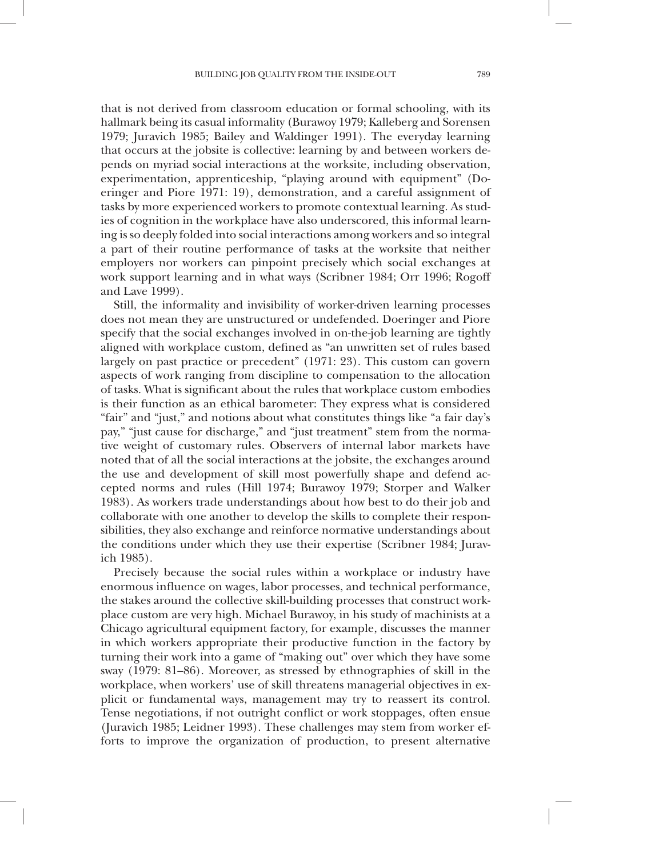that is not derived from classroom education or formal schooling, with its hallmark being its casual informality (Burawoy 1979; Kalleberg and Sorensen 1979; Juravich 1985; Bailey and Waldinger 1991). The everyday learning that occurs at the jobsite is collective: learning by and between workers depends on myriad social interactions at the worksite, including observation, experimentation, apprenticeship, "playing around with equipment" (Doeringer and Piore 1971: 19), demonstration, and a careful assignment of tasks by more experienced workers to promote contextual learning. As studies of cognition in the workplace have also underscored, this informal learning is so deeply folded into social interactions among workers and so integral a part of their routine performance of tasks at the worksite that neither employers nor workers can pinpoint precisely which social exchanges at work support learning and in what ways (Scribner 1984; Orr 1996; Rogoff and Lave 1999).

Still, the informality and invisibility of worker-driven learning processes does not mean they are unstructured or undefended. Doeringer and Piore specify that the social exchanges involved in on-the-job learning are tightly aligned with workplace custom, defined as "an unwritten set of rules based largely on past practice or precedent" (1971: 23). This custom can govern aspects of work ranging from discipline to compensation to the allocation of tasks. What is significant about the rules that workplace custom embodies is their function as an ethical barometer: They express what is considered "fair" and "just," and notions about what constitutes things like "a fair day's pay," "just cause for discharge," and "just treatment" stem from the normative weight of customary rules. Observers of internal labor markets have noted that of all the social interactions at the jobsite, the exchanges around the use and development of skill most powerfully shape and defend accepted norms and rules (Hill 1974; Burawoy 1979; Storper and Walker 1983). As workers trade understandings about how best to do their job and collaborate with one another to develop the skills to complete their responsibilities, they also exchange and reinforce normative understandings about the conditions under which they use their expertise (Scribner 1984; Juravich 1985).

Precisely because the social rules within a workplace or industry have enormous influence on wages, labor processes, and technical performance, the stakes around the collective skill-building processes that construct workplace custom are very high. Michael Burawoy, in his study of machinists at a Chicago agricultural equipment factory, for example, discusses the manner in which workers appropriate their productive function in the factory by turning their work into a game of "making out" over which they have some sway (1979: 81–86). Moreover, as stressed by ethnographies of skill in the workplace, when workers' use of skill threatens managerial objectives in explicit or fundamental ways, management may try to reassert its control. Tense negotiations, if not outright conflict or work stoppages, often ensue (Juravich 1985; Leidner 1993). These challenges may stem from worker efforts to improve the organization of production, to present alternative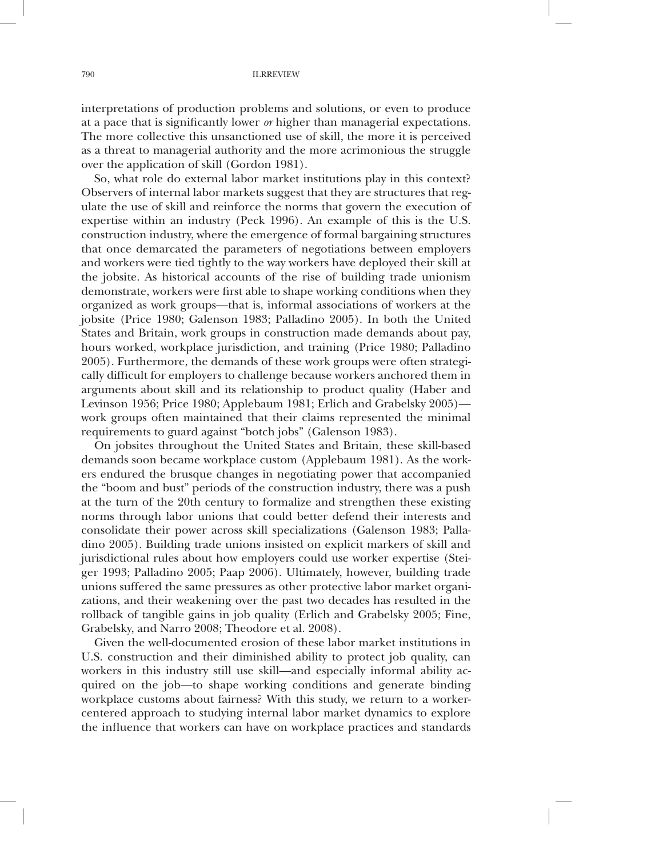interpretations of production problems and solutions, or even to produce at a pace that is significantly lower *or* higher than managerial expectations. The more collective this unsanctioned use of skill, the more it is perceived as a threat to managerial authority and the more acrimonious the struggle over the application of skill (Gordon 1981).

So, what role do external labor market institutions play in this context? Observers of internal labor markets suggest that they are structures that regulate the use of skill and reinforce the norms that govern the execution of expertise within an industry (Peck 1996). An example of this is the U.S. construction industry, where the emergence of formal bargaining structures that once demarcated the parameters of negotiations between employers and workers were tied tightly to the way workers have deployed their skill at the jobsite. As historical accounts of the rise of building trade unionism demonstrate, workers were first able to shape working conditions when they organized as work groups—that is, informal associations of workers at the jobsite (Price 1980; Galenson 1983; Palladino 2005). In both the United States and Britain, work groups in construction made demands about pay, hours worked, workplace jurisdiction, and training (Price 1980; Palladino 2005). Furthermore, the demands of these work groups were often strategically difficult for employers to challenge because workers anchored them in arguments about skill and its relationship to product quality (Haber and Levinson 1956; Price 1980; Applebaum 1981; Erlich and Grabelsky 2005) work groups often maintained that their claims represented the minimal requirements to guard against "botch jobs" (Galenson 1983).

On jobsites throughout the United States and Britain, these skill-based demands soon became workplace custom (Applebaum 1981). As the workers endured the brusque changes in negotiating power that accompanied the "boom and bust" periods of the construction industry, there was a push at the turn of the 20th century to formalize and strengthen these existing norms through labor unions that could better defend their interests and consolidate their power across skill specializations (Galenson 1983; Palladino 2005). Building trade unions insisted on explicit markers of skill and jurisdictional rules about how employers could use worker expertise (Steiger 1993; Palladino 2005; Paap 2006). Ultimately, however, building trade unions suffered the same pressures as other protective labor market organizations, and their weakening over the past two decades has resulted in the rollback of tangible gains in job quality (Erlich and Grabelsky 2005; Fine, Grabelsky, and Narro 2008; Theodore et al. 2008).

Given the well-documented erosion of these labor market institutions in U.S. construction and their diminished ability to protect job quality, can workers in this industry still use skill—and especially informal ability acquired on the job—to shape working conditions and generate binding workplace customs about fairness? With this study, we return to a workercentered approach to studying internal labor market dynamics to explore the influence that workers can have on workplace practices and standards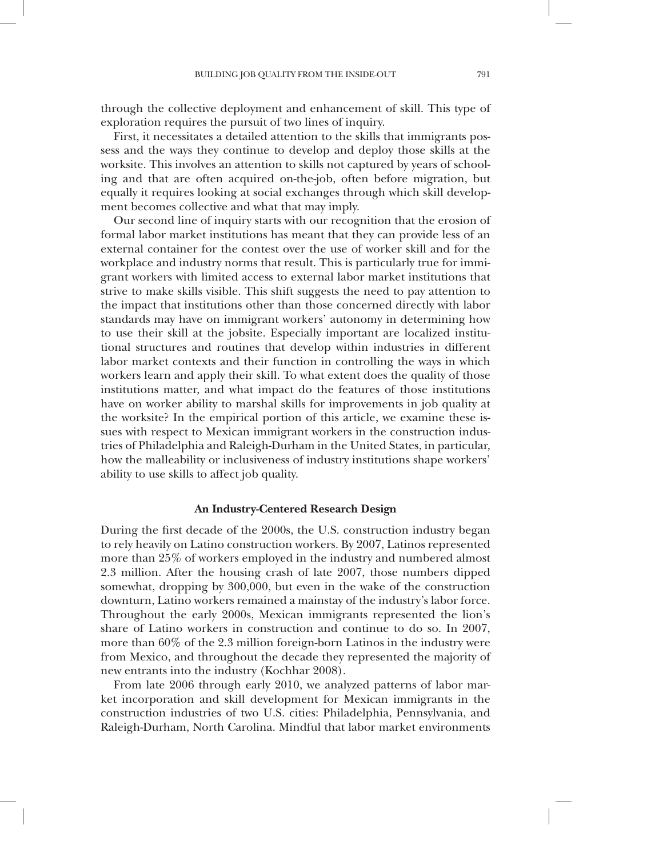through the collective deployment and enhancement of skill. This type of exploration requires the pursuit of two lines of inquiry.

First, it necessitates a detailed attention to the skills that immigrants possess and the ways they continue to develop and deploy those skills at the worksite. This involves an attention to skills not captured by years of schooling and that are often acquired on-the-job, often before migration, but equally it requires looking at social exchanges through which skill development becomes collective and what that may imply.

Our second line of inquiry starts with our recognition that the erosion of formal labor market institutions has meant that they can provide less of an external container for the contest over the use of worker skill and for the workplace and industry norms that result. This is particularly true for immigrant workers with limited access to external labor market institutions that strive to make skills visible. This shift suggests the need to pay attention to the impact that institutions other than those concerned directly with labor standards may have on immigrant workers' autonomy in determining how to use their skill at the jobsite. Especially important are localized institutional structures and routines that develop within industries in different labor market contexts and their function in controlling the ways in which workers learn and apply their skill. To what extent does the quality of those institutions matter, and what impact do the features of those institutions have on worker ability to marshal skills for improvements in job quality at the worksite? In the empirical portion of this article, we examine these issues with respect to Mexican immigrant workers in the construction industries of Philadelphia and Raleigh-Durham in the United States, in particular, how the malleability or inclusiveness of industry institutions shape workers' ability to use skills to affect job quality.

#### **An Industry-Centered Research Design**

During the first decade of the 2000s, the U.S. construction industry began to rely heavily on Latino construction workers. By 2007, Latinos represented more than 25% of workers employed in the industry and numbered almost 2.3 million. After the housing crash of late 2007, those numbers dipped somewhat, dropping by 300,000, but even in the wake of the construction downturn, Latino workers remained a mainstay of the industry's labor force. Throughout the early 2000s, Mexican immigrants represented the lion's share of Latino workers in construction and continue to do so. In 2007, more than 60% of the 2.3 million foreign-born Latinos in the industry were from Mexico, and throughout the decade they represented the majority of new entrants into the industry (Kochhar 2008).

From late 2006 through early 2010, we analyzed patterns of labor market incorporation and skill development for Mexican immigrants in the construction industries of two U.S. cities: Philadelphia, Pennsylvania, and Raleigh-Durham, North Carolina. Mindful that labor market environments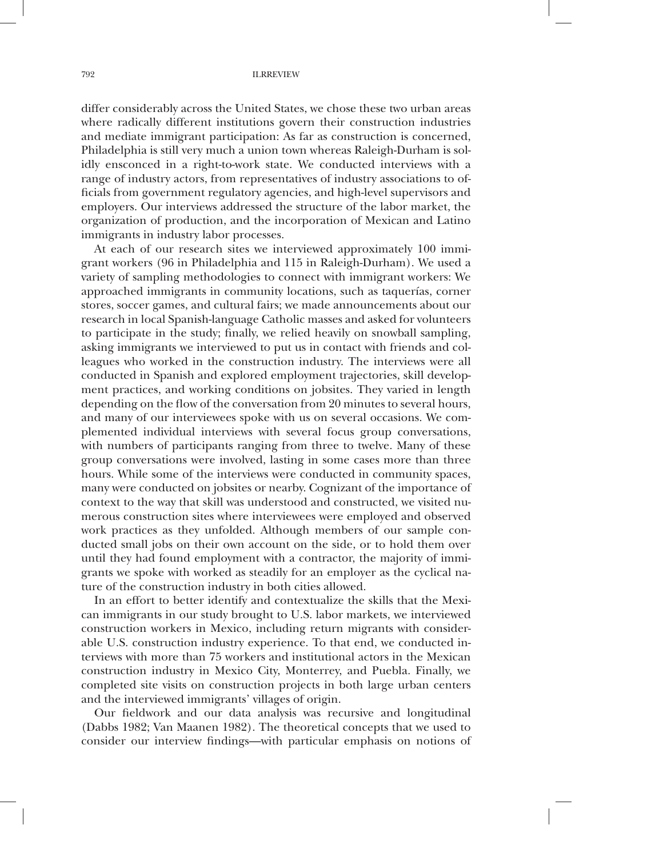differ considerably across the United States, we chose these two urban areas where radically different institutions govern their construction industries and mediate immigrant participation: As far as construction is concerned, Philadelphia is still very much a union town whereas Raleigh-Durham is solidly ensconced in a right-to-work state. We conducted interviews with a range of industry actors, from representatives of industry associations to officials from government regulatory agencies, and high-level supervisors and employers. Our interviews addressed the structure of the labor market, the organization of production, and the incorporation of Mexican and Latino immigrants in industry labor processes.

At each of our research sites we interviewed approximately 100 immigrant workers (96 in Philadelphia and 115 in Raleigh-Durham). We used a variety of sampling methodologies to connect with immigrant workers: We approached immigrants in community locations, such as taquerías, corner stores, soccer games, and cultural fairs; we made announcements about our research in local Spanish-language Catholic masses and asked for volunteers to participate in the study; finally, we relied heavily on snowball sampling, asking immigrants we interviewed to put us in contact with friends and colleagues who worked in the construction industry. The interviews were all conducted in Spanish and explored employment trajectories, skill development practices, and working conditions on jobsites. They varied in length depending on the flow of the conversation from 20 minutes to several hours, and many of our interviewees spoke with us on several occasions. We complemented individual interviews with several focus group conversations, with numbers of participants ranging from three to twelve. Many of these group conversations were involved, lasting in some cases more than three hours. While some of the interviews were conducted in community spaces, many were conducted on jobsites or nearby. Cognizant of the importance of context to the way that skill was understood and constructed, we visited numerous construction sites where interviewees were employed and observed work practices as they unfolded. Although members of our sample conducted small jobs on their own account on the side, or to hold them over until they had found employment with a contractor, the majority of immigrants we spoke with worked as steadily for an employer as the cyclical nature of the construction industry in both cities allowed.

In an effort to better identify and contextualize the skills that the Mexican immigrants in our study brought to U.S. labor markets, we interviewed construction workers in Mexico, including return migrants with considerable U.S. construction industry experience. To that end, we conducted interviews with more than 75 workers and institutional actors in the Mexican construction industry in Mexico City, Monterrey, and Puebla. Finally, we completed site visits on construction projects in both large urban centers and the interviewed immigrants' villages of origin.

Our fieldwork and our data analysis was recursive and longitudinal (Dabbs 1982; Van Maanen 1982). The theoretical concepts that we used to consider our interview findings—with particular emphasis on notions of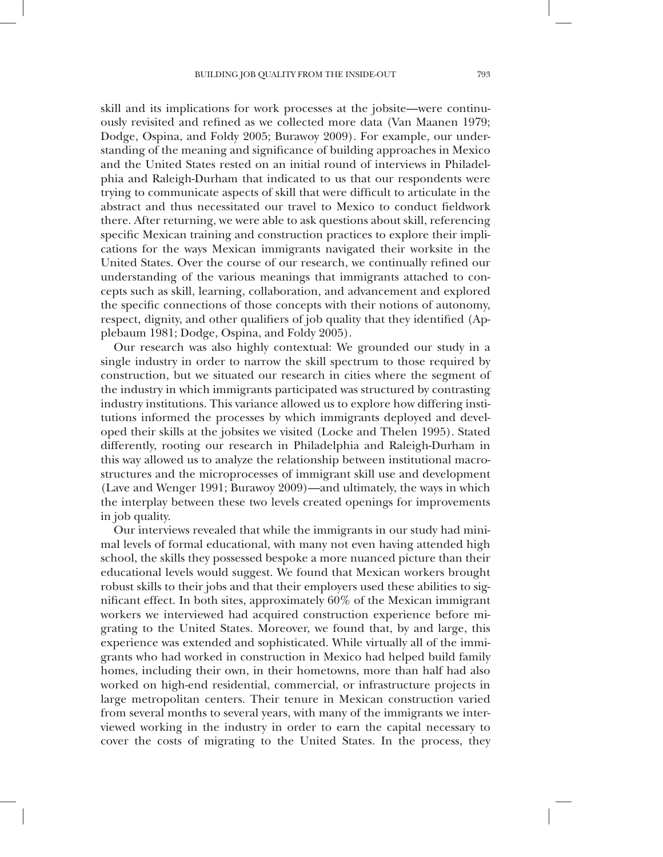skill and its implications for work processes at the jobsite—were continuously revisited and refined as we collected more data (Van Maanen 1979; Dodge, Ospina, and Foldy 2005; Burawoy 2009). For example, our understanding of the meaning and significance of building approaches in Mexico and the United States rested on an initial round of interviews in Philadelphia and Raleigh-Durham that indicated to us that our respondents were trying to communicate aspects of skill that were difficult to articulate in the abstract and thus necessitated our travel to Mexico to conduct fieldwork there. After returning, we were able to ask questions about skill, referencing specific Mexican training and construction practices to explore their implications for the ways Mexican immigrants navigated their worksite in the United States. Over the course of our research, we continually refined our understanding of the various meanings that immigrants attached to concepts such as skill, learning, collaboration, and advancement and explored the specific connections of those concepts with their notions of autonomy, respect, dignity, and other qualifiers of job quality that they identified (Applebaum 1981; Dodge, Ospina, and Foldy 2005).

Our research was also highly contextual: We grounded our study in a single industry in order to narrow the skill spectrum to those required by construction, but we situated our research in cities where the segment of the industry in which immigrants participated was structured by contrasting industry institutions. This variance allowed us to explore how differing institutions informed the processes by which immigrants deployed and developed their skills at the jobsites we visited (Locke and Thelen 1995). Stated differently, rooting our research in Philadelphia and Raleigh-Durham in this way allowed us to analyze the relationship between institutional macrostructures and the microprocesses of immigrant skill use and development (Lave and Wenger 1991; Burawoy 2009)—and ultimately, the ways in which the interplay between these two levels created openings for improvements in job quality.

Our interviews revealed that while the immigrants in our study had minimal levels of formal educational, with many not even having attended high school, the skills they possessed bespoke a more nuanced picture than their educational levels would suggest. We found that Mexican workers brought robust skills to their jobs and that their employers used these abilities to significant effect. In both sites, approximately 60% of the Mexican immigrant workers we interviewed had acquired construction experience before migrating to the United States. Moreover, we found that, by and large, this experience was extended and sophisticated. While virtually all of the immigrants who had worked in construction in Mexico had helped build family homes, including their own, in their hometowns, more than half had also worked on high-end residential, commercial, or infrastructure projects in large metropolitan centers. Their tenure in Mexican construction varied from several months to several years, with many of the immigrants we interviewed working in the industry in order to earn the capital necessary to cover the costs of migrating to the United States. In the process, they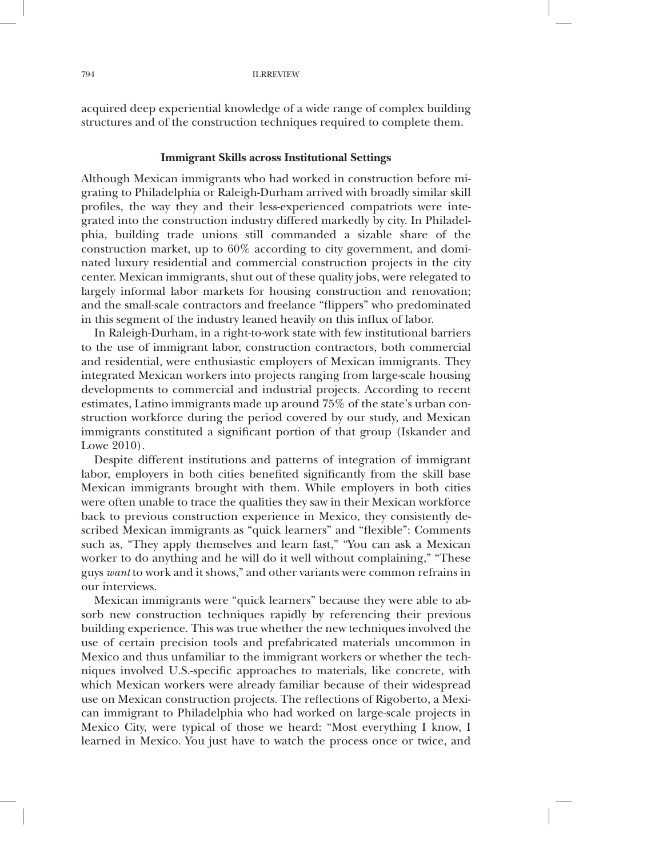acquired deep experiential knowledge of a wide range of complex building structures and of the construction techniques required to complete them.

## **Immigrant Skills across Institutional Settings**

Although Mexican immigrants who had worked in construction before migrating to Philadelphia or Raleigh-Durham arrived with broadly similar skill profiles, the way they and their less-experienced compatriots were integrated into the construction industry differed markedly by city. In Philadelphia, building trade unions still commanded a sizable share of the construction market, up to 60% according to city government, and dominated luxury residential and commercial construction projects in the city center. Mexican immigrants, shut out of these quality jobs, were relegated to largely informal labor markets for housing construction and renovation; and the small-scale contractors and freelance "flippers" who predominated in this segment of the industry leaned heavily on this influx of labor.

In Raleigh-Durham, in a right-to-work state with few institutional barriers to the use of immigrant labor, construction contractors, both commercial and residential, were enthusiastic employers of Mexican immigrants. They integrated Mexican workers into projects ranging from large-scale housing developments to commercial and industrial projects. According to recent estimates, Latino immigrants made up around 75% of the state's urban construction workforce during the period covered by our study, and Mexican immigrants constituted a significant portion of that group (Iskander and Lowe 2010).

Despite different institutions and patterns of integration of immigrant labor, employers in both cities benefited significantly from the skill base Mexican immigrants brought with them. While employers in both cities were often unable to trace the qualities they saw in their Mexican workforce back to previous construction experience in Mexico, they consistently described Mexican immigrants as "quick learners" and "flexible": Comments such as, "They apply themselves and learn fast," "You can ask a Mexican worker to do anything and he will do it well without complaining," "These guys *want* to work and it shows," and other variants were common refrains in our interviews.

Mexican immigrants were "quick learners" because they were able to absorb new construction techniques rapidly by referencing their previous building experience. This was true whether the new techniques involved the use of certain precision tools and prefabricated materials uncommon in Mexico and thus unfamiliar to the immigrant workers or whether the techniques involved U.S.-specific approaches to materials, like concrete, with which Mexican workers were already familiar because of their widespread use on Mexican construction projects. The reflections of Rigoberto, a Mexican immigrant to Philadelphia who had worked on large-scale projects in Mexico City, were typical of those we heard: "Most everything I know, I learned in Mexico. You just have to watch the process once or twice, and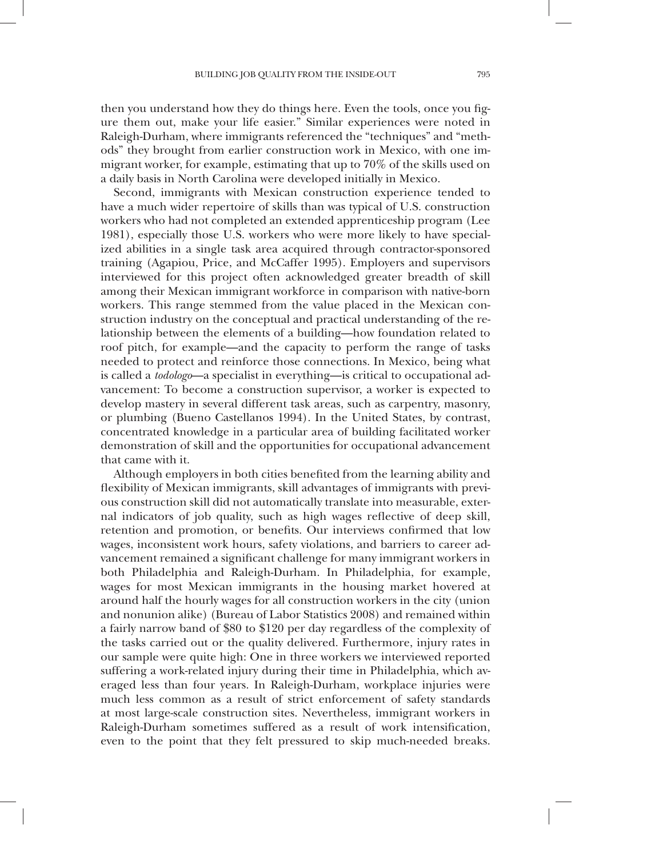then you understand how they do things here. Even the tools, once you figure them out, make your life easier." Similar experiences were noted in Raleigh-Durham, where immigrants referenced the "techniques" and "methods" they brought from earlier construction work in Mexico, with one immigrant worker, for example, estimating that up to 70% of the skills used on a daily basis in North Carolina were developed initially in Mexico.

Second, immigrants with Mexican construction experience tended to have a much wider repertoire of skills than was typical of U.S. construction workers who had not completed an extended apprenticeship program (Lee 1981), especially those U.S. workers who were more likely to have specialized abilities in a single task area acquired through contractor-sponsored training (Agapiou, Price, and McCaffer 1995). Employers and supervisors interviewed for this project often acknowledged greater breadth of skill among their Mexican immigrant workforce in comparison with native-born workers. This range stemmed from the value placed in the Mexican construction industry on the conceptual and practical understanding of the relationship between the elements of a building—how foundation related to roof pitch, for example—and the capacity to perform the range of tasks needed to protect and reinforce those connections. In Mexico, being what is called a *todologo*—a specialist in everything—is critical to occupational advancement: To become a construction supervisor, a worker is expected to develop mastery in several different task areas, such as carpentry, masonry, or plumbing (Bueno Castellanos 1994). In the United States, by contrast, concentrated knowledge in a particular area of building facilitated worker demonstration of skill and the opportunities for occupational advancement that came with it.

Although employers in both cities benefited from the learning ability and flexibility of Mexican immigrants, skill advantages of immigrants with previous construction skill did not automatically translate into measurable, external indicators of job quality, such as high wages reflective of deep skill, retention and promotion, or benefits. Our interviews confirmed that low wages, inconsistent work hours, safety violations, and barriers to career advancement remained a significant challenge for many immigrant workers in both Philadelphia and Raleigh-Durham. In Philadelphia, for example, wages for most Mexican immigrants in the housing market hovered at around half the hourly wages for all construction workers in the city (union and nonunion alike) (Bureau of Labor Statistics 2008) and remained within a fairly narrow band of \$80 to \$120 per day regardless of the complexity of the tasks carried out or the quality delivered. Furthermore, injury rates in our sample were quite high: One in three workers we interviewed reported suffering a work-related injury during their time in Philadelphia, which averaged less than four years. In Raleigh-Durham, workplace injuries were much less common as a result of strict enforcement of safety standards at most large-scale construction sites. Nevertheless, immigrant workers in Raleigh-Durham sometimes suffered as a result of work intensification, even to the point that they felt pressured to skip much-needed breaks.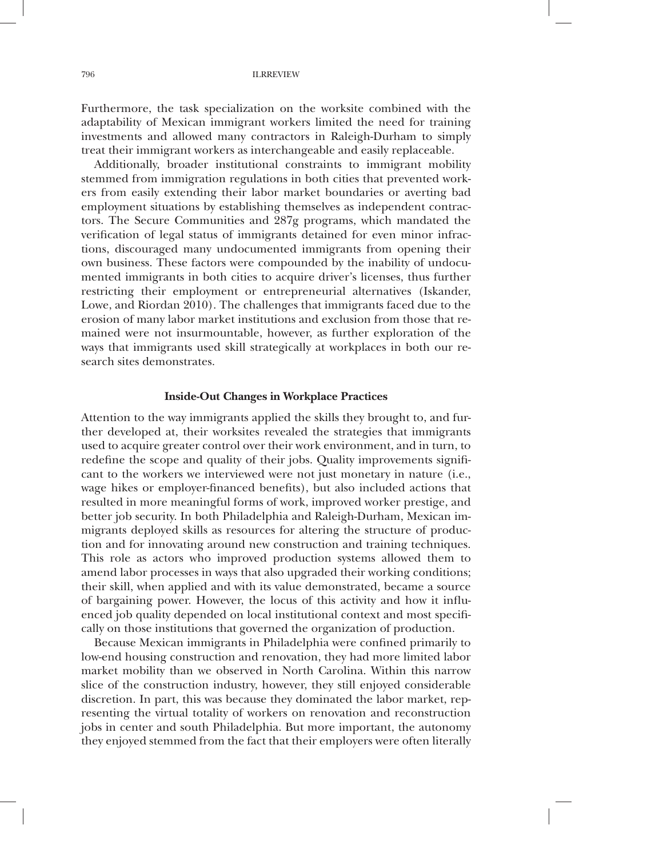Furthermore, the task specialization on the worksite combined with the adaptability of Mexican immigrant workers limited the need for training investments and allowed many contractors in Raleigh-Durham to simply treat their immigrant workers as interchangeable and easily replaceable.

Additionally, broader institutional constraints to immigrant mobility stemmed from immigration regulations in both cities that prevented workers from easily extending their labor market boundaries or averting bad employment situations by establishing themselves as independent contractors. The Secure Communities and 287g programs, which mandated the verification of legal status of immigrants detained for even minor infractions, discouraged many undocumented immigrants from opening their own business. These factors were compounded by the inability of undocumented immigrants in both cities to acquire driver's licenses, thus further restricting their employment or entrepreneurial alternatives (Iskander, Lowe, and Riordan 2010). The challenges that immigrants faced due to the erosion of many labor market institutions and exclusion from those that remained were not insurmountable, however, as further exploration of the ways that immigrants used skill strategically at workplaces in both our research sites demonstrates.

#### **Inside-Out Changes in Workplace Practices**

Attention to the way immigrants applied the skills they brought to, and further developed at, their worksites revealed the strategies that immigrants used to acquire greater control over their work environment, and in turn, to redefine the scope and quality of their jobs. Quality improvements significant to the workers we interviewed were not just monetary in nature (i.e., wage hikes or employer-financed benefits), but also included actions that resulted in more meaningful forms of work, improved worker prestige, and better job security. In both Philadelphia and Raleigh-Durham, Mexican immigrants deployed skills as resources for altering the structure of production and for innovating around new construction and training techniques. This role as actors who improved production systems allowed them to amend labor processes in ways that also upgraded their working conditions; their skill, when applied and with its value demonstrated, became a source of bargaining power. However, the locus of this activity and how it influenced job quality depended on local institutional context and most specifically on those institutions that governed the organization of production.

Because Mexican immigrants in Philadelphia were confined primarily to low-end housing construction and renovation, they had more limited labor market mobility than we observed in North Carolina. Within this narrow slice of the construction industry, however, they still enjoyed considerable discretion. In part, this was because they dominated the labor market, representing the virtual totality of workers on renovation and reconstruction jobs in center and south Philadelphia. But more important, the autonomy they enjoyed stemmed from the fact that their employers were often literally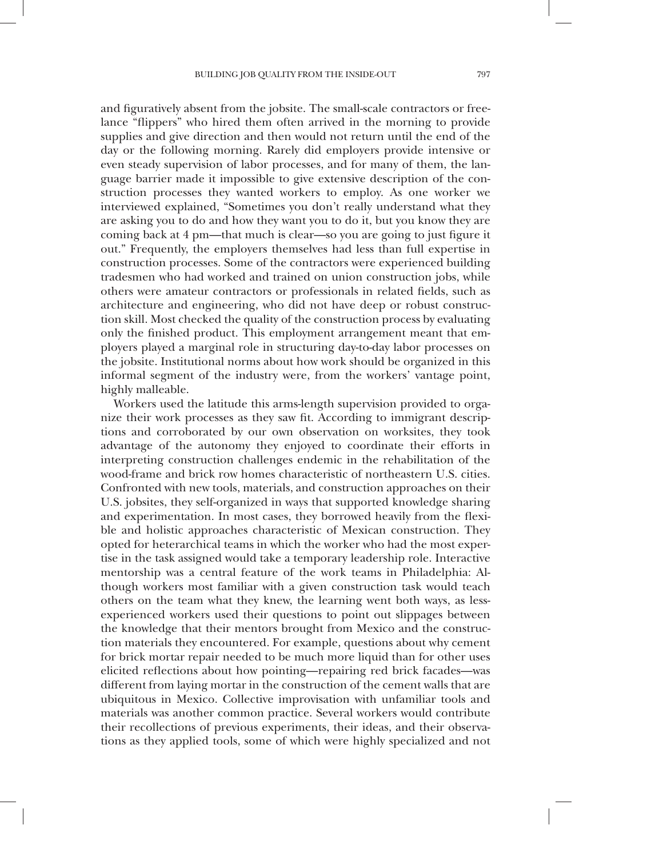and figuratively absent from the jobsite. The small-scale contractors or freelance "flippers" who hired them often arrived in the morning to provide supplies and give direction and then would not return until the end of the day or the following morning. Rarely did employers provide intensive or even steady supervision of labor processes, and for many of them, the language barrier made it impossible to give extensive description of the construction processes they wanted workers to employ. As one worker we interviewed explained, "Sometimes you don't really understand what they are asking you to do and how they want you to do it, but you know they are coming back at 4 pm—that much is clear—so you are going to just figure it out." Frequently, the employers themselves had less than full expertise in construction processes. Some of the contractors were experienced building tradesmen who had worked and trained on union construction jobs, while others were amateur contractors or professionals in related fields, such as architecture and engineering, who did not have deep or robust construction skill. Most checked the quality of the construction process by evaluating only the finished product. This employment arrangement meant that employers played a marginal role in structuring day-to-day labor processes on the jobsite. Institutional norms about how work should be organized in this informal segment of the industry were, from the workers' vantage point, highly malleable.

Workers used the latitude this arms-length supervision provided to organize their work processes as they saw fit. According to immigrant descriptions and corroborated by our own observation on worksites, they took advantage of the autonomy they enjoyed to coordinate their efforts in interpreting construction challenges endemic in the rehabilitation of the wood-frame and brick row homes characteristic of northeastern U.S. cities. Confronted with new tools, materials, and construction approaches on their U.S. jobsites, they self-organized in ways that supported knowledge sharing and experimentation. In most cases, they borrowed heavily from the flexible and holistic approaches characteristic of Mexican construction. They opted for heterarchical teams in which the worker who had the most expertise in the task assigned would take a temporary leadership role. Interactive mentorship was a central feature of the work teams in Philadelphia: Although workers most familiar with a given construction task would teach others on the team what they knew, the learning went both ways, as lessexperienced workers used their questions to point out slippages between the knowledge that their mentors brought from Mexico and the construction materials they encountered. For example, questions about why cement for brick mortar repair needed to be much more liquid than for other uses elicited reflections about how pointing—repairing red brick facades—was different from laying mortar in the construction of the cement walls that are ubiquitous in Mexico. Collective improvisation with unfamiliar tools and materials was another common practice. Several workers would contribute their recollections of previous experiments, their ideas, and their observations as they applied tools, some of which were highly specialized and not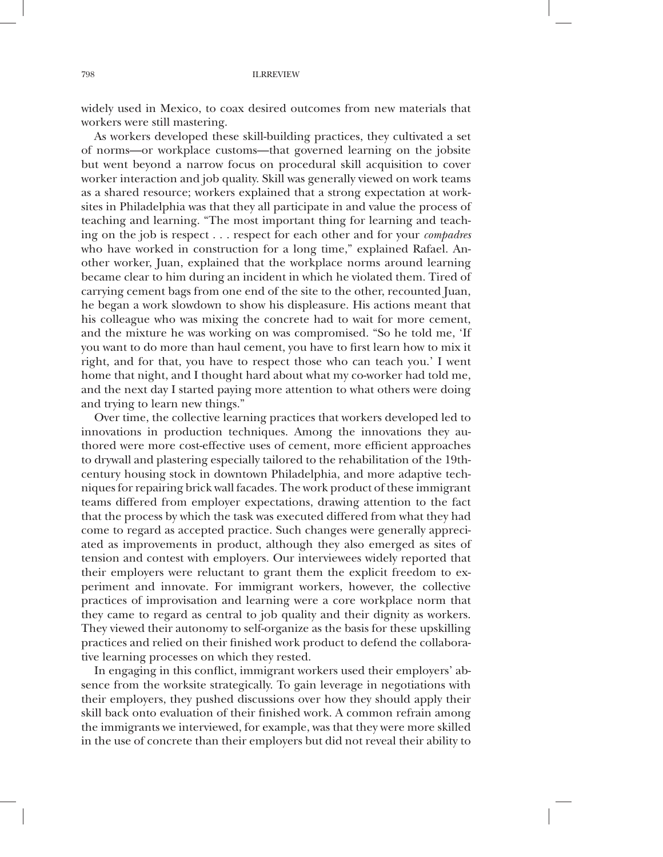widely used in Mexico, to coax desired outcomes from new materials that workers were still mastering.

As workers developed these skill-building practices, they cultivated a set of norms—or workplace customs—that governed learning on the jobsite but went beyond a narrow focus on procedural skill acquisition to cover worker interaction and job quality. Skill was generally viewed on work teams as a shared resource; workers explained that a strong expectation at worksites in Philadelphia was that they all participate in and value the process of teaching and learning. "The most important thing for learning and teaching on the job is respect . . . respect for each other and for your *compadres* who have worked in construction for a long time," explained Rafael. Another worker, Juan, explained that the workplace norms around learning became clear to him during an incident in which he violated them. Tired of carrying cement bags from one end of the site to the other, recounted Juan, he began a work slowdown to show his displeasure. His actions meant that his colleague who was mixing the concrete had to wait for more cement, and the mixture he was working on was compromised. "So he told me, 'If you want to do more than haul cement, you have to first learn how to mix it right, and for that, you have to respect those who can teach you.' I went home that night, and I thought hard about what my co-worker had told me, and the next day I started paying more attention to what others were doing and trying to learn new things."

Over time, the collective learning practices that workers developed led to innovations in production techniques. Among the innovations they authored were more cost-effective uses of cement, more efficient approaches to drywall and plastering especially tailored to the rehabilitation of the 19thcentury housing stock in downtown Philadelphia, and more adaptive techniques for repairing brick wall facades. The work product of these immigrant teams differed from employer expectations, drawing attention to the fact that the process by which the task was executed differed from what they had come to regard as accepted practice. Such changes were generally appreciated as improvements in product, although they also emerged as sites of tension and contest with employers. Our interviewees widely reported that their employers were reluctant to grant them the explicit freedom to experiment and innovate. For immigrant workers, however, the collective practices of improvisation and learning were a core workplace norm that they came to regard as central to job quality and their dignity as workers. They viewed their autonomy to self-organize as the basis for these upskilling practices and relied on their finished work product to defend the collaborative learning processes on which they rested.

In engaging in this conflict, immigrant workers used their employers' absence from the worksite strategically. To gain leverage in negotiations with their employers, they pushed discussions over how they should apply their skill back onto evaluation of their finished work. A common refrain among the immigrants we interviewed, for example, was that they were more skilled in the use of concrete than their employers but did not reveal their ability to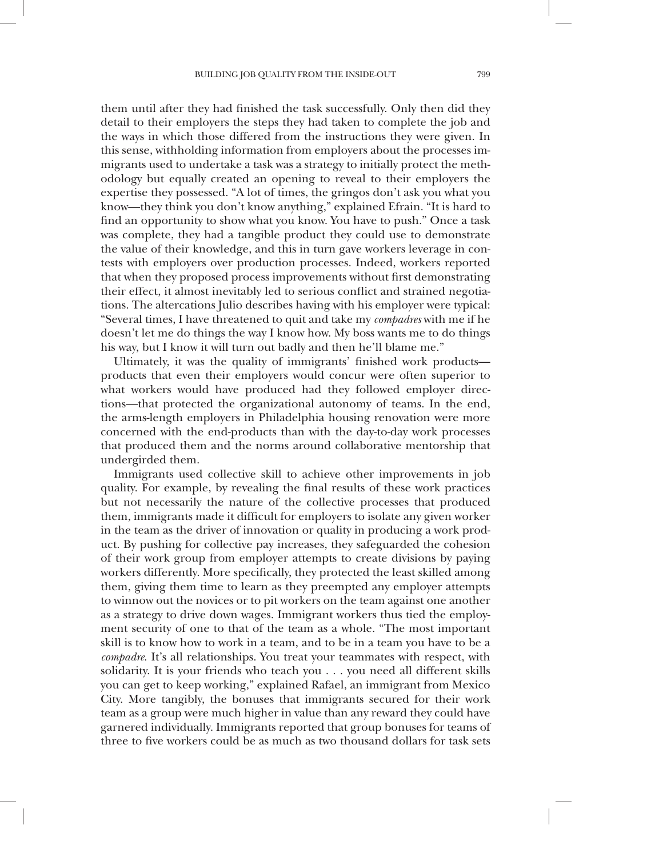them until after they had finished the task successfully. Only then did they detail to their employers the steps they had taken to complete the job and the ways in which those differed from the instructions they were given. In this sense, withholding information from employers about the processes immigrants used to undertake a task was a strategy to initially protect the methodology but equally created an opening to reveal to their employers the expertise they possessed. "A lot of times, the gringos don't ask you what you know—they think you don't know anything," explained Efrain. "It is hard to find an opportunity to show what you know. You have to push." Once a task was complete, they had a tangible product they could use to demonstrate the value of their knowledge, and this in turn gave workers leverage in contests with employers over production processes. Indeed, workers reported that when they proposed process improvements without first demonstrating their effect, it almost inevitably led to serious conflict and strained negotiations. The altercations Julio describes having with his employer were typical: "Several times, I have threatened to quit and take my *compadres* with me if he doesn't let me do things the way I know how. My boss wants me to do things his way, but I know it will turn out badly and then he'll blame me."

Ultimately, it was the quality of immigrants' finished work products products that even their employers would concur were often superior to what workers would have produced had they followed employer directions—that protected the organizational autonomy of teams. In the end, the arms-length employers in Philadelphia housing renovation were more concerned with the end-products than with the day-to-day work processes that produced them and the norms around collaborative mentorship that undergirded them.

Immigrants used collective skill to achieve other improvements in job quality. For example, by revealing the final results of these work practices but not necessarily the nature of the collective processes that produced them, immigrants made it difficult for employers to isolate any given worker in the team as the driver of innovation or quality in producing a work product. By pushing for collective pay increases, they safeguarded the cohesion of their work group from employer attempts to create divisions by paying workers differently. More specifically, they protected the least skilled among them, giving them time to learn as they preempted any employer attempts to winnow out the novices or to pit workers on the team against one another as a strategy to drive down wages. Immigrant workers thus tied the employment security of one to that of the team as a whole. "The most important skill is to know how to work in a team, and to be in a team you have to be a *compadre*. It's all relationships. You treat your teammates with respect, with solidarity. It is your friends who teach you . . . you need all different skills you can get to keep working," explained Rafael, an immigrant from Mexico City. More tangibly, the bonuses that immigrants secured for their work team as a group were much higher in value than any reward they could have garnered individually. Immigrants reported that group bonuses for teams of three to five workers could be as much as two thousand dollars for task sets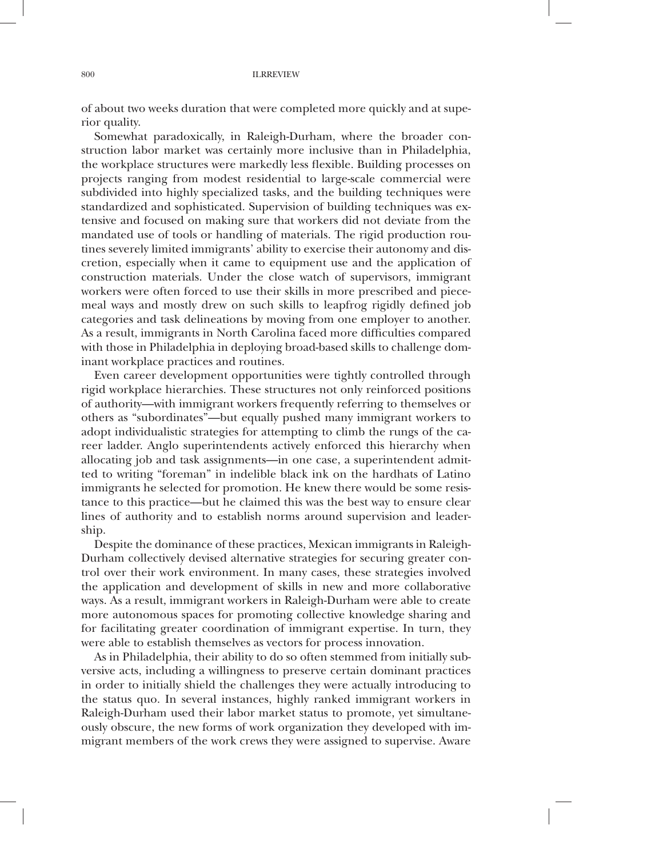of about two weeks duration that were completed more quickly and at superior quality.

Somewhat paradoxically, in Raleigh-Durham, where the broader construction labor market was certainly more inclusive than in Philadelphia, the workplace structures were markedly less flexible. Building processes on projects ranging from modest residential to large-scale commercial were subdivided into highly specialized tasks, and the building techniques were standardized and sophisticated. Supervision of building techniques was extensive and focused on making sure that workers did not deviate from the mandated use of tools or handling of materials. The rigid production routines severely limited immigrants' ability to exercise their autonomy and discretion, especially when it came to equipment use and the application of construction materials. Under the close watch of supervisors, immigrant workers were often forced to use their skills in more prescribed and piecemeal ways and mostly drew on such skills to leapfrog rigidly defined job categories and task delineations by moving from one employer to another. As a result, immigrants in North Carolina faced more difficulties compared with those in Philadelphia in deploying broad-based skills to challenge dominant workplace practices and routines.

Even career development opportunities were tightly controlled through rigid workplace hierarchies. These structures not only reinforced positions of authority—with immigrant workers frequently referring to themselves or others as "subordinates"—but equally pushed many immigrant workers to adopt individualistic strategies for attempting to climb the rungs of the career ladder. Anglo superintendents actively enforced this hierarchy when allocating job and task assignments—in one case, a superintendent admitted to writing "foreman" in indelible black ink on the hardhats of Latino immigrants he selected for promotion. He knew there would be some resistance to this practice—but he claimed this was the best way to ensure clear lines of authority and to establish norms around supervision and leadership.

Despite the dominance of these practices, Mexican immigrants in Raleigh-Durham collectively devised alternative strategies for securing greater control over their work environment. In many cases, these strategies involved the application and development of skills in new and more collaborative ways. As a result, immigrant workers in Raleigh-Durham were able to create more autonomous spaces for promoting collective knowledge sharing and for facilitating greater coordination of immigrant expertise. In turn, they were able to establish themselves as vectors for process innovation.

As in Philadelphia, their ability to do so often stemmed from initially subversive acts, including a willingness to preserve certain dominant practices in order to initially shield the challenges they were actually introducing to the status quo. In several instances, highly ranked immigrant workers in Raleigh-Durham used their labor market status to promote, yet simultaneously obscure, the new forms of work organization they developed with immigrant members of the work crews they were assigned to supervise. Aware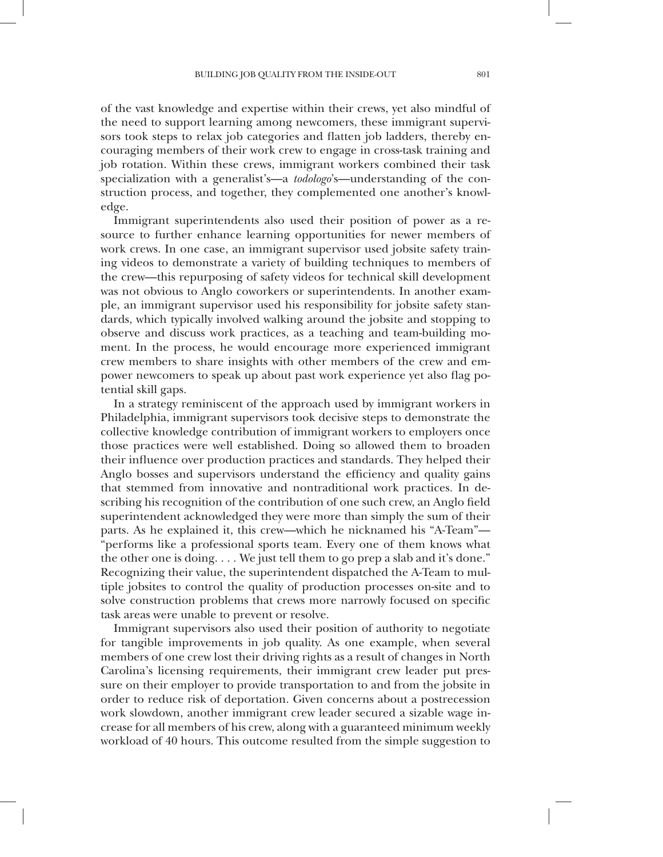of the vast knowledge and expertise within their crews, yet also mindful of the need to support learning among newcomers, these immigrant supervisors took steps to relax job categories and flatten job ladders, thereby encouraging members of their work crew to engage in cross-task training and job rotation. Within these crews, immigrant workers combined their task specialization with a generalist's—a *todologo*'s—understanding of the construction process, and together, they complemented one another's knowledge.

Immigrant superintendents also used their position of power as a resource to further enhance learning opportunities for newer members of work crews. In one case, an immigrant supervisor used jobsite safety training videos to demonstrate a variety of building techniques to members of the crew—this repurposing of safety videos for technical skill development was not obvious to Anglo coworkers or superintendents. In another example, an immigrant supervisor used his responsibility for jobsite safety standards, which typically involved walking around the jobsite and stopping to observe and discuss work practices, as a teaching and team-building moment. In the process, he would encourage more experienced immigrant crew members to share insights with other members of the crew and empower newcomers to speak up about past work experience yet also flag potential skill gaps.

In a strategy reminiscent of the approach used by immigrant workers in Philadelphia, immigrant supervisors took decisive steps to demonstrate the collective knowledge contribution of immigrant workers to employers once those practices were well established. Doing so allowed them to broaden their influence over production practices and standards. They helped their Anglo bosses and supervisors understand the efficiency and quality gains that stemmed from innovative and nontraditional work practices. In describing his recognition of the contribution of one such crew, an Anglo field superintendent acknowledged they were more than simply the sum of their parts. As he explained it, this crew—which he nicknamed his "A-Team"— "performs like a professional sports team. Every one of them knows what the other one is doing. . . . We just tell them to go prep a slab and it's done." Recognizing their value, the superintendent dispatched the A-Team to multiple jobsites to control the quality of production processes on-site and to solve construction problems that crews more narrowly focused on specific task areas were unable to prevent or resolve.

Immigrant supervisors also used their position of authority to negotiate for tangible improvements in job quality. As one example, when several members of one crew lost their driving rights as a result of changes in North Carolina's licensing requirements, their immigrant crew leader put pressure on their employer to provide transportation to and from the jobsite in order to reduce risk of deportation. Given concerns about a postrecession work slowdown, another immigrant crew leader secured a sizable wage increase for all members of his crew, along with a guaranteed minimum weekly workload of 40 hours. This outcome resulted from the simple suggestion to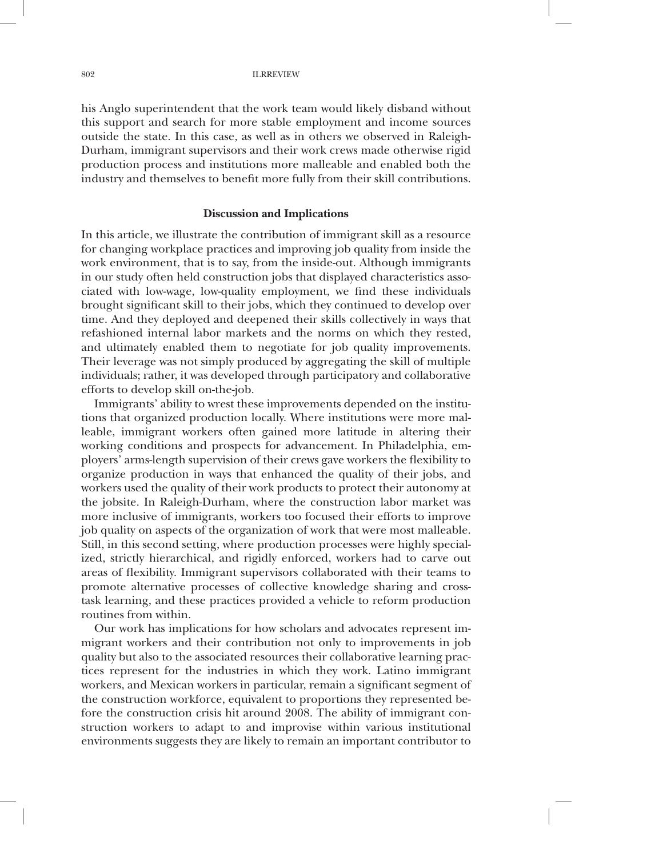his Anglo superintendent that the work team would likely disband without this support and search for more stable employment and income sources outside the state. In this case, as well as in others we observed in Raleigh-Durham, immigrant supervisors and their work crews made otherwise rigid production process and institutions more malleable and enabled both the industry and themselves to benefit more fully from their skill contributions.

## **Discussion and Implications**

In this article, we illustrate the contribution of immigrant skill as a resource for changing workplace practices and improving job quality from inside the work environment, that is to say, from the inside-out. Although immigrants in our study often held construction jobs that displayed characteristics associated with low-wage, low-quality employment, we find these individuals brought significant skill to their jobs, which they continued to develop over time. And they deployed and deepened their skills collectively in ways that refashioned internal labor markets and the norms on which they rested, and ultimately enabled them to negotiate for job quality improvements. Their leverage was not simply produced by aggregating the skill of multiple individuals; rather, it was developed through participatory and collaborative efforts to develop skill on-the-job.

Immigrants' ability to wrest these improvements depended on the institutions that organized production locally. Where institutions were more malleable, immigrant workers often gained more latitude in altering their working conditions and prospects for advancement. In Philadelphia, employers' arms-length supervision of their crews gave workers the flexibility to organize production in ways that enhanced the quality of their jobs, and workers used the quality of their work products to protect their autonomy at the jobsite. In Raleigh-Durham, where the construction labor market was more inclusive of immigrants, workers too focused their efforts to improve job quality on aspects of the organization of work that were most malleable. Still, in this second setting, where production processes were highly specialized, strictly hierarchical, and rigidly enforced, workers had to carve out areas of flexibility. Immigrant supervisors collaborated with their teams to promote alternative processes of collective knowledge sharing and crosstask learning, and these practices provided a vehicle to reform production routines from within.

Our work has implications for how scholars and advocates represent immigrant workers and their contribution not only to improvements in job quality but also to the associated resources their collaborative learning practices represent for the industries in which they work. Latino immigrant workers, and Mexican workers in particular, remain a significant segment of the construction workforce, equivalent to proportions they represented before the construction crisis hit around 2008. The ability of immigrant construction workers to adapt to and improvise within various institutional environments suggests they are likely to remain an important contributor to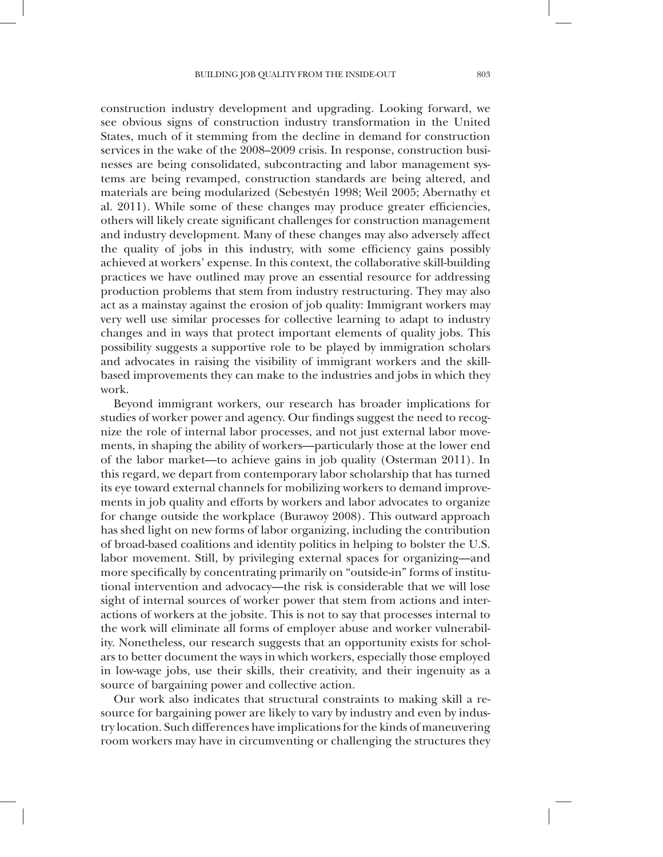construction industry development and upgrading. Looking forward, we see obvious signs of construction industry transformation in the United States, much of it stemming from the decline in demand for construction services in the wake of the 2008–2009 crisis. In response, construction businesses are being consolidated, subcontracting and labor management systems are being revamped, construction standards are being altered, and materials are being modularized (Sebestyén 1998; Weil 2005; Abernathy et al. 2011). While some of these changes may produce greater efficiencies, others will likely create significant challenges for construction management and industry development. Many of these changes may also adversely affect the quality of jobs in this industry, with some efficiency gains possibly achieved at workers' expense. In this context, the collaborative skill-building practices we have outlined may prove an essential resource for addressing production problems that stem from industry restructuring. They may also act as a mainstay against the erosion of job quality: Immigrant workers may very well use similar processes for collective learning to adapt to industry changes and in ways that protect important elements of quality jobs. This possibility suggests a supportive role to be played by immigration scholars and advocates in raising the visibility of immigrant workers and the skillbased improvements they can make to the industries and jobs in which they work.

Beyond immigrant workers, our research has broader implications for studies of worker power and agency. Our findings suggest the need to recognize the role of internal labor processes, and not just external labor movements, in shaping the ability of workers—particularly those at the lower end of the labor market—to achieve gains in job quality (Osterman 2011). In this regard, we depart from contemporary labor scholarship that has turned its eye toward external channels for mobilizing workers to demand improvements in job quality and efforts by workers and labor advocates to organize for change outside the workplace (Burawoy 2008). This outward approach has shed light on new forms of labor organizing, including the contribution of broad-based coalitions and identity politics in helping to bolster the U.S. labor movement. Still, by privileging external spaces for organizing—and more specifically by concentrating primarily on "outside-in" forms of institutional intervention and advocacy—the risk is considerable that we will lose sight of internal sources of worker power that stem from actions and interactions of workers at the jobsite. This is not to say that processes internal to the work will eliminate all forms of employer abuse and worker vulnerability. Nonetheless, our research suggests that an opportunity exists for scholars to better document the ways in which workers, especially those employed in low-wage jobs, use their skills, their creativity, and their ingenuity as a source of bargaining power and collective action.

Our work also indicates that structural constraints to making skill a resource for bargaining power are likely to vary by industry and even by industry location. Such differences have implications for the kinds of maneuvering room workers may have in circumventing or challenging the structures they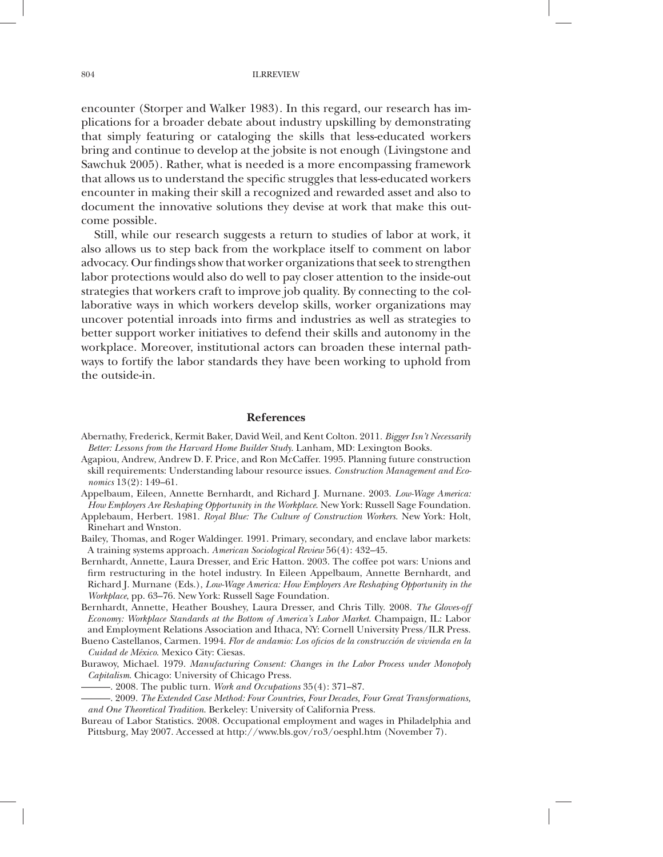encounter (Storper and Walker 1983). In this regard, our research has implications for a broader debate about industry upskilling by demonstrating that simply featuring or cataloging the skills that less-educated workers bring and continue to develop at the jobsite is not enough (Livingstone and Sawchuk 2005). Rather, what is needed is a more encompassing framework that allows us to understand the specific struggles that less-educated workers encounter in making their skill a recognized and rewarded asset and also to document the innovative solutions they devise at work that make this outcome possible.

Still, while our research suggests a return to studies of labor at work, it also allows us to step back from the workplace itself to comment on labor advocacy. Our findings show that worker organizations that seek to strengthen labor protections would also do well to pay closer attention to the inside-out strategies that workers craft to improve job quality. By connecting to the collaborative ways in which workers develop skills, worker organizations may uncover potential inroads into firms and industries as well as strategies to better support worker initiatives to defend their skills and autonomy in the workplace. Moreover, institutional actors can broaden these internal pathways to fortify the labor standards they have been working to uphold from the outside-in.

## **References**

- Abernathy, Frederick, Kermit Baker, David Weil, and Kent Colton. 2011. *Bigger Isn't Necessarily Better: Lessons from the Harvard Home Builder Study*. Lanham, MD: Lexington Books.
- Agapiou, Andrew, Andrew D. F. Price, and Ron McCaffer. 1995. Planning future construction skill requirements: Understanding labour resource issues. *Construction Management and Economics* 13(2): 149–61.
- Appelbaum, Eileen, Annette Bernhardt, and Richard J. Murnane. 2003. *Low-Wage America: How Employers Are Reshaping Opportunity in the Workplace*. New York: Russell Sage Foundation.
- Applebaum, Herbert. 1981. *Royal Blue: The Culture of Construction Workers*. New York: Holt, Rinehart and Wnston.
- Bailey, Thomas, and Roger Waldinger. 1991. Primary, secondary, and enclave labor markets: A training systems approach. *American Sociological Review* 56(4): 432–45.
- Bernhardt, Annette, Laura Dresser, and Eric Hatton. 2003. The coffee pot wars: Unions and firm restructuring in the hotel industry. In Eileen Appelbaum, Annette Bernhardt, and Richard J. Murnane (Eds.), *Low-Wage America: How Employers Are Reshaping Opportunity in the Workplace*, pp. 63–76. New York: Russell Sage Foundation.
- Bernhardt, Annette, Heather Boushey, Laura Dresser, and Chris Tilly. 2008. *The Gloves-off Economy: Workplace Standards at the Bottom of America's Labor Market*. Champaign, IL: Labor and Employment Relations Association and Ithaca, NY: Cornell University Press/ILR Press.
- Bueno Castellanos, Carmen. 1994. *Flor de andamio: Los oficios de la construcción de vivienda en la Cuidad de México*. Mexico City: Ciesas.
- Burawoy, Michael. 1979. *Manufacturing Consent: Changes in the Labor Process under Monopoly Capitalism*. Chicago: University of Chicago Press.
	- ——. 2008. The public turn. *Work and Occupations* 35(4): 371–87.
- ———. 2009. *The Extended Case Method: Four Countries, Four Decades, Four Great Transformations, and One Theoretical Tradition*. Berkeley: University of California Press.
- Bureau of Labor Statistics. 2008. Occupational employment and wages in Philadelphia and Pittsburg, May 2007. Accessed at http://www.bls.gov/ro3/oesphl.htm (November 7).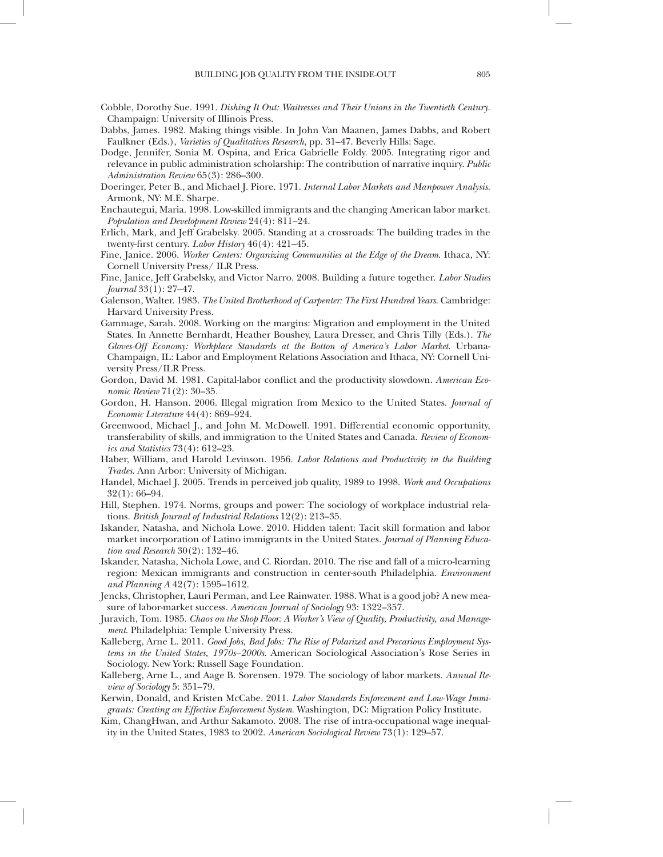- Cobble, Dorothy Sue. 1991. *Dishing It Out: Waitresses and Their Unions in the Twentieth Century*. Champaign: University of Illinois Press.
- Dabbs, James. 1982. Making things visible. In John Van Maanen, James Dabbs, and Robert Faulkner (Eds.), *Varieties of Qualitatives Research*, pp. 31–47. Beverly Hills: Sage.
- Dodge, Jennifer, Sonia M. Ospina, and Erica Gabrielle Foldy. 2005. Integrating rigor and relevance in public administration scholarship: The contribution of narrative inquiry. *Public Administration Review* 65(3): 286–300.
- Doeringer, Peter B., and Michael J. Piore. 1971. *Internal Labor Markets and Manpower Analysis*. Armonk, NY: M.E. Sharpe.
- Enchautegui, Maria. 1998. Low-skilled immigrants and the changing American labor market. *Population and Development Review* 24(4): 811–24.
- Erlich, Mark, and Jeff Grabelsky. 2005. Standing at a crossroads: The building trades in the twenty-first century. *Labor History* 46(4): 421–45.
- Fine, Janice. 2006. *Worker Centers: Organizing Communities at the Edge of the Dream*. Ithaca, NY: Cornell University Press/ ILR Press.
- Fine, Janice, Jeff Grabelsky, and Victor Narro. 2008. Building a future together. *Labor Studies Journal* 33(1): 27–47.
- Galenson, Walter. 1983. *The United Brotherhood of Carpenter: The First Hundred Years*. Cambridge: Harvard University Press.
- Gammage, Sarah. 2008. Working on the margins: Migration and employment in the United States. In Annette Bernhardt, Heather Boushey, Laura Dresser, and Chris Tilly (Eds.). *The Gloves-Off Economy: Workplace Standards at the Botton of America's Labor Market*. Urbana-Champaign, IL: Labor and Employment Relations Association and Ithaca, NY: Cornell University Press/ILR Press.
- Gordon, David M. 1981. Capital-labor conflict and the productivity slowdown. *American Economic Review* 71(2): 30–35.
- Gordon, H. Hanson. 2006. Illegal migration from Mexico to the United States. *Journal of Economic Literature* 44(4): 869–924.
- Greenwood, Michael J., and John M. McDowell. 1991. Differential economic opportunity, transferability of skills, and immigration to the United States and Canada. *Review of Economics and Statistics* 73(4): 612–23.
- Haber, William, and Harold Levinson. 1956. *Labor Relations and Productivity in the Building Trades*. Ann Arbor: University of Michigan.
- Handel, Michael J. 2005. Trends in perceived job quality, 1989 to 1998. *Work and Occupations* 32(1): 66–94.
- Hill, Stephen. 1974. Norms, groups and power: The sociology of workplace industrial relations. *British Journal of Industrial Relations* 12(2): 213–35.
- Iskander, Natasha, and Nichola Lowe. 2010. Hidden talent: Tacit skill formation and labor market incorporation of Latino immigrants in the United States. *Journal of Planning Education and Research* 30(2): 132–46.
- Iskander, Natasha, Nichola Lowe, and C. Riordan. 2010. The rise and fall of a micro-learning region: Mexican immigrants and construction in center-south Philadelphia. *Environment and Planning A* 42(7): 1595–1612.
- Jencks, Christopher, Lauri Perman, and Lee Rainwater. 1988. What is a good job? A new measure of labor-market success. *American Journal of Sociology* 93: 1322–357.
- Juravich, Tom. 1985. *Chaos on the Shop Floor: A Worker's View of Quality, Productivity, and Management*. Philadelphia: Temple University Press.
- Kalleberg, Arne L. 2011. *Good Jobs, Bad Jobs: The Rise of Polarized and Precarious Employment Systems in the United States, 1970s–2000s*. American Sociological Association's Rose Series in Sociology. New York: Russell Sage Foundation.
- Kalleberg, Arne L., and Aage B. Sorensen. 1979. The sociology of labor markets. *Annual Review of Sociology* 5: 351–79.
- Kerwin, Donald, and Kristen McCabe. 2011. *Labor Standards Enforcement and Low-Wage Immigrants: Creating an Effective Enforcement System*. Washington, DC: Migration Policy Institute.
- Kim, ChangHwan, and Arthur Sakamoto. 2008. The rise of intra-occupational wage inequality in the United States, 1983 to 2002. *American Sociological Review* 73(1): 129–57.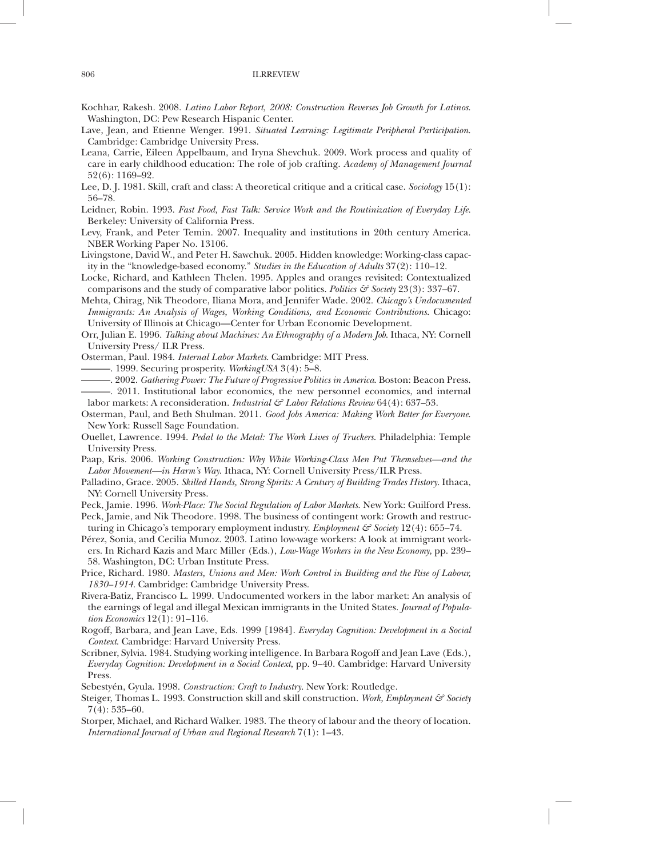- Kochhar, Rakesh. 2008. *Latino Labor Report, 2008: Construction Reverses Job Growth for Latinos*. Washington, DC: Pew Research Hispanic Center.
- Lave, Jean, and Etienne Wenger. 1991. *Situated Learning: Legitimate Peripheral Participation*. Cambridge: Cambridge University Press.
- Leana, Carrie, Eileen Appelbaum, and Iryna Shevchuk. 2009. Work process and quality of care in early childhood education: The role of job crafting. *Academy of Management Journal*  52(6): 1169–92.
- Lee, D. J. 1981. Skill, craft and class: A theoretical critique and a critical case. *Sociology* 15(1): 56–78.
- Leidner, Robin. 1993. *Fast Food, Fast Talk: Service Work and the Routinization of Everyday Life.*  Berkeley: University of California Press.
- Levy, Frank, and Peter Temin. 2007. Inequality and institutions in 20th century America. NBER Working Paper No. 13106.
- Livingstone, David W., and Peter H. Sawchuk. 2005. Hidden knowledge: Working-class capacity in the "knowledge-based economy." *Studies in the Education of Adults* 37(2): 110–12.
- Locke, Richard, and Kathleen Thelen. 1995. Apples and oranges revisited: Contextualized comparisons and the study of comparative labor politics. *Politics & Society* 23(3): 337–67.
- Mehta, Chirag, Nik Theodore, Iliana Mora, and Jennifer Wade. 2002. *Chicago's Undocumented Immigrants: An Analysis of Wages, Working Conditions, and Economic Contributions*. Chicago: University of Illinois at Chicago—Center for Urban Economic Development.
- Orr, Julian E. 1996. *Talking about Machines: An Ethnography of a Modern Job*. Ithaca, NY: Cornell University Press/ ILR Press.
- Osterman, Paul. 1984. *Internal Labor Markets*. Cambridge: MIT Press.
- ———. 1999. Securing prosperity. *WorkingUSA* 3(4): 5–8.
- ———. 2002. *Gathering Power: The Future of Progressive Politics in America*. Boston: Beacon Press. ———. 2011. Institutional labor economics, the new personnel economics, and internal labor markets: A reconsideration. *Industrial & Labor Relations Review* 64(4): 637–53.
- Osterman, Paul, and Beth Shulman. 2011. *Good Jobs America: Making Work Better for Everyone*. New York: Russell Sage Foundation.
- Ouellet, Lawrence. 1994. *Pedal to the Metal: The Work Lives of Truckers*. Philadelphia: Temple University Press.
- Paap, Kris. 2006. *Working Construction: Why White Working-Class Men Put Themselves—and the Labor Movement—in Harm's Way*. Ithaca, NY: Cornell University Press/ILR Press.
- Palladino, Grace. 2005. *Skilled Hands, Strong Spirits: A Century of Building Trades History*. Ithaca, NY: Cornell University Press.
- Peck, Jamie. 1996. *Work-Place: The Social Regulation of Labor Markets*. New York: Guilford Press. Peck, Jamie, and Nik Theodore. 1998. The business of contingent work: Growth and restructuring in Chicago's temporary employment industry. *Employment & Society* 12(4): 655–74.
- Pérez, Sonia, and Cecilia Munoz. 2003. Latino low-wage workers: A look at immigrant work-
- ers. In Richard Kazis and Marc Miller (Eds.), *Low-Wage Workers in the New Economy*, pp. 239– 58. Washington, DC: Urban Institute Press.
- Price, Richard. 1980. *Masters, Unions and Men: Work Control in Building and the Rise of Labour, 1830–1914*. Cambridge: Cambridge University Press.
- Rivera-Batiz, Francisco L. 1999. Undocumented workers in the labor market: An analysis of the earnings of legal and illegal Mexican immigrants in the United States. *Journal of Population Economics* 12(1): 91–116.
- Rogoff, Barbara, and Jean Lave, Eds. 1999 [1984]. *Everyday Cognition: Development in a Social Context*. Cambridge: Harvard University Press.
- Scribner, Sylvia. 1984. Studying working intelligence. In Barbara Rogoff and Jean Lave (Eds.), *Everyday Cognition: Development in a Social Context*, pp. 9–40. Cambridge: Harvard University Press.
- Sebestyén, Gyula. 1998. *Construction: Craft to Industry*. New York: Routledge.
- Steiger, Thomas L. 1993. Construction skill and skill construction. *Work, Employment & Society* 7(4): 535–60.
- Storper, Michael, and Richard Walker. 1983. The theory of labour and the theory of location. *International Journal of Urban and Regional Research* 7(1): 1–43.